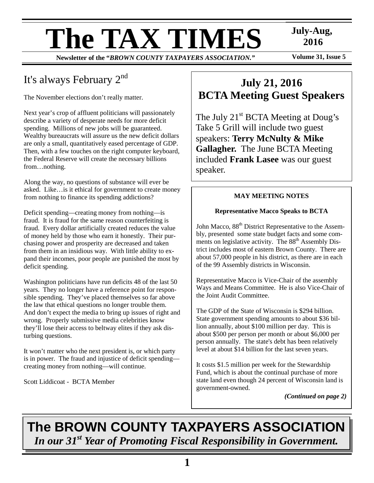# **The TAX TIMES** July-Aug,<br>
Newsletter of the "BROWN COUNTY TAXPAYERS ASSOCIATION." Volume 31, Issue 5

**Newsletter of the "BROWN COUNTY TAXPAYERS ASSOCIATION."** 

 **2016** 

# It's always February 2nd

The November elections don't really matter.

Next year's crop of affluent politicians will passionately describe a variety of desperate needs for more deficit spending. Millions of new jobs will be guaranteed. Wealthy bureaucrats will assure us the new deficit dollars are only a small, quantitatively eased percentage of GDP. Then, with a few touches on the right computer keyboard, the Federal Reserve will create the necessary billions from…nothing.

Along the way, no questions of substance will ever be asked. Like…is it ethical for government to create money from nothing to finance its spending addictions?

Deficit spending—creating money from nothing—is fraud. It is fraud for the same reason counterfeiting is fraud. Every dollar artificially created reduces the value of money held by those who earn it honestly. Their purchasing power and prosperity are decreased and taken from them in an insidious way. With little ability to expand their incomes, poor people are punished the most by deficit spending.

Washington politicians have run deficits 48 of the last 50 years. They no longer have a reference point for responsible spending. They've placed themselves so far above the law that ethical questions no longer trouble them. And don't expect the media to bring up issues of right and wrong. Properly submissive media celebrities know they'll lose their access to beltway elites if they ask disturbing questions.

It won't matter who the next president is, or which party is in power. The fraud and injustice of deficit spending creating money from nothing—will continue.

Scott Liddicoat - BCTA Member

# **July 21, 2016 BCTA Meeting Guest Speakers**

The July 21<sup>st</sup> BCTA Meeting at Doug's Take 5 Grill will include two guest speakers: **Terry McNulty & Mike Gallagher.** The June BCTA Meeting included **Frank Lasee** was our guest speaker.

## **MAY MEETING NOTES**

## **Representative Macco Speaks to BCTA**

John Macco,  $88<sup>th</sup>$  District Representative to the Assembly, presented some state budget facts and some comments on legislative activity. The 88<sup>th</sup> Assembly District includes most of eastern Brown County. There are about 57,000 people in his district, as there are in each of the 99 Assembly districts in Wisconsin.

Representative Macco is Vice-Chair of the assembly Ways and Means Committee. He is also Vice-Chair of the Joint Audit Committee.

The GDP of the State of Wisconsin is \$294 billion. State government spending amounts to about \$36 billion annually, about \$100 million per day. This is about \$500 per person per month or about \$6,000 per person annually. The state's debt has been relatively level at about \$14 billion for the last seven years.

It costs \$1.5 million per week for the Stewardship Fund, which is about the continual purchase of more state land even though 24 percent of Wisconsin land is government-owned.

*(Continued on page 2)* 

# **The BROWN COUNTY TAXPAYERS ASSOCIATION**  *In our 31st Year of Promoting Fiscal Responsibility in Government.*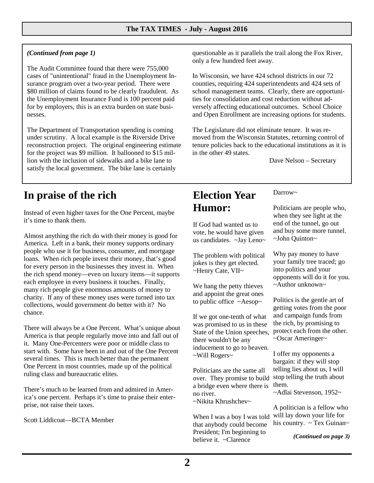## *(Continued from page 1)*

The Audit Committee found that there were 755,000 cases of "unintentional" fraud in the Unemployment Insurance program over a two-year period. There were \$80 million of claims found to be clearly fraudulent. As the Unemployment Insurance Fund is 100 percent paid for by employers, this is an extra burden on state businesses.

The Department of Transportation spending is coming under scrutiny. A local example is the Riverside Drive reconstruction project. The original engineering estimate for the project was \$9 million. It ballooned to \$15 million with the inclusion of sidewalks and a bike lane to satisfy the local government. The bike lane is certainly

## **In praise of the rich**

Instead of even higher taxes for the One Percent, maybe it's time to thank them.

Almost anything the rich do with their money is good for America. Left in a bank, their money supports ordinary people who use it for business, consumer, and mortgage loans. When rich people invest their money, that's good for every person in the businesses they invest in. When the rich spend money—even on luxury items—it supports each employee in every business it touches. Finally, many rich people give enormous amounts of money to charity. If any of these money uses were turned into tax collections, would government do better with it? No chance.

There will always be a One Percent. What's unique about America is that people regularly move into and fall out of it. Many One-Percenters were poor or middle class to start with. Some have been in and out of the One Percent several times. This is much better than the permanent One Percent in most countries, made up of the political ruling class and bureaucratic elites.

There's much to be learned from and admired in America's one percent. Perhaps it's time to praise their enterprise, not raise their taxes.

Scott Liddicoat—BCTA Member

questionable as it parallels the trail along the Fox River, only a few hundred feet away.

In Wisconsin, we have 424 school districts in our 72 counties, requiring 424 superintendents and 424 sets of school management teams. Clearly, there are opportunities for consolidation and cost reduction without adversely affecting educational outcomes. School Choice and Open Enrollment are increasing options for students.

The Legislature did not eliminate tenure. It was removed from the Wisconsin Statutes, returning control of tenure policies back to the educational institutions as it is in the other 49 states.

Dave Nelson – Secretary

## **Election Year Humor:**

If God had wanted us to vote, he would have given us candidates. ~Jay Leno~

The problem with political jokes is they get elected. ~Henry Cate, VII~

We hang the petty thieves and appoint the great ones to public office ~Aesop~

If we got one-tenth of what was promised to us in these State of the Union speeches, there wouldn't be any inducement to go to heaven. ~Will Rogers~

Politicians are the same all over. They promise to build a bridge even where there is no river.

 $\sim$ Nikita Khrushchev $\sim$ 

When I was a boy I was told that anybody could become President; I'm beginning to believe it. ~Clarence

Darrow~

Politicians are people who, when they see light at the end of the tunnel, go out and buy some more tunnel. ~John Quinton~

Why pay money to have your family tree traced; go into politics and your opponents will do it for you. ~Author unknown~

Politics is the gentle art of getting votes from the poor and campaign funds from the rich, by promising to protect each from the other. ~Oscar Ameringer~

I offer my opponents a bargain: if they will stop telling lies about us, I will stop telling the truth about them.

~Adlai Stevenson, 1952~

A politician is a fellow who will lay down your life for his country.  $\sim$  Tex Guinan $\sim$ 

*(Continued on page 3)*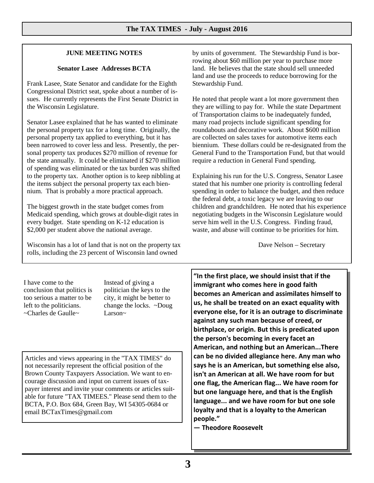### **JUNE MEETING NOTES**

#### **Senator Lasee Addresses BCTA**

Frank Lasee, State Senator and candidate for the Eighth Congressional District seat, spoke about a number of issues. He currently represents the First Senate District in the Wisconsin Legislature.

Senator Lasee explained that he has wanted to eliminate the personal property tax for a long time. Originally, the personal property tax applied to everything, but it has been narrowed to cover less and less. Presently, the personal property tax produces \$270 million of revenue for the state annually. It could be eliminated if \$270 million of spending was eliminated or the tax burden was shifted to the property tax. Another option is to keep nibbling at the items subject the personal property tax each biennium. That is probably a more practical approach.

The biggest growth in the state budget comes from Medicaid spending, which grows at double-digit rates in every budget. State spending on K-12 education is \$2,000 per student above the national average.

Wisconsin has a lot of land that is not on the property tax rolls, including the 23 percent of Wisconsin land owned

by units of government. The Stewardship Fund is borrowing about \$60 million per year to purchase more land. He believes that the state should sell unneeded land and use the proceeds to reduce borrowing for the Stewardship Fund.

He noted that people want a lot more government then they are willing to pay for. While the state Department of Transportation claims to be inadequately funded, many road projects include significant spending for roundabouts and decorative work. About \$600 million are collected on sales taxes for automotive items each biennium. These dollars could be re-designated from the General Fund to the Transportation Fund, but that would require a reduction in General Fund spending.

Explaining his run for the U.S. Congress, Senator Lasee stated that his number one priority is controlling federal spending in order to balance the budget, and then reduce the federal debt, a toxic legacy we are leaving to our children and grandchildren. He noted that his experience negotiating budgets in the Wisconsin Legislature would serve him well in the U.S. Congress. Finding fraud, waste, and abuse will continue to be priorities for him.

Dave Nelson – Secretary

I have come to the conclusion that politics is too serious a matter to be left to the politicians. ~Charles de Gaulle~

Instead of giving a politician the keys to the city, it might be better to change the locks. ~Doug Larson~

Articles and views appearing in the "TAX TIMES" do not necessarily represent the official position of the Brown County Taxpayers Association. We want to encourage discussion and input on current issues of taxpayer interest and invite your comments or articles suitable for future "TAX TIMEES." Please send them to the BCTA, P.O. Box 684, Green Bay, WI 54305-0684 or email BCTaxTimes@gmail.com

**"In the first place, we should insist that if the immigrant who comes here in good faith becomes an American and assimilates himself to us, he shall be treated on an exact equality with everyone else, for it is an outrage to discriminate against any such man because of creed, or birthplace, or origin. But this is predicated upon the person's becoming in every facet an American, and nothing but an American...There can be no divided allegiance here. Any man who says he is an American, but something else also, isn't an American at all. We have room for but one flag, the American flag... We have room for but one language here, and that is the English language... and we have room for but one sole loyalty and that is a loyalty to the American people."** 

**― Theodore Roosevelt**